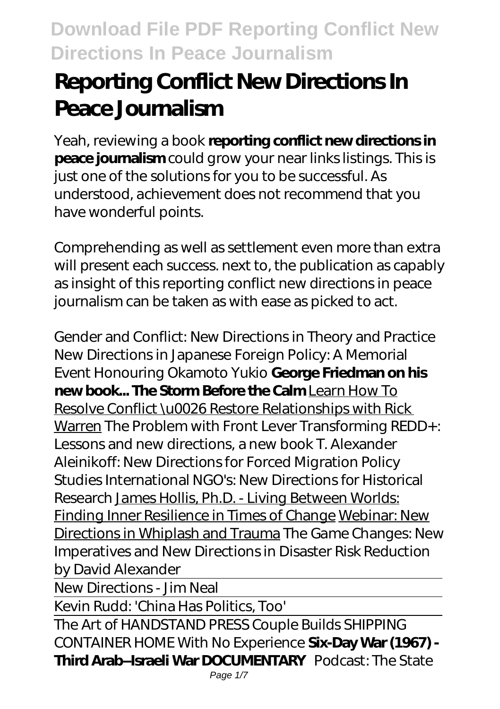# **Reporting Conflict New Directions In Peace Journalism**

Yeah, reviewing a book **reporting conflict new directions in peace journalism** could grow your near links listings. This is just one of the solutions for you to be successful. As understood, achievement does not recommend that you have wonderful points.

Comprehending as well as settlement even more than extra will present each success. next to, the publication as capably as insight of this reporting conflict new directions in peace journalism can be taken as with ease as picked to act.

*Gender and Conflict: New Directions in Theory and Practice New Directions in Japanese Foreign Policy: A Memorial Event Honouring Okamoto Yukio* **George Friedman on his new book... The Storm Before the Calm** Learn How To Resolve Conflict \u0026 Restore Relationships with Rick Warren *The Problem with Front Lever Transforming REDD+: Lessons and new directions, a new book* T. Alexander Aleinikoff: New Directions for Forced Migration Policy Studies International NGO's: New Directions for Historical Research James Hollis, Ph.D. - Living Between Worlds: Finding Inner Resilience in Times of Change Webinar: New Directions in Whiplash and Trauma *The Game Changes: New Imperatives and New Directions in Disaster Risk Reduction by David Alexander*

New Directions - Jim Neal

Kevin Rudd: 'China Has Politics, Too'

The Art of HANDSTAND PRESS Couple Builds SHIPPING CONTAINER HOME With No Experience **Six-Day War (1967) - Third Arab–Israeli War DOCUMENTARY** Podcast: The State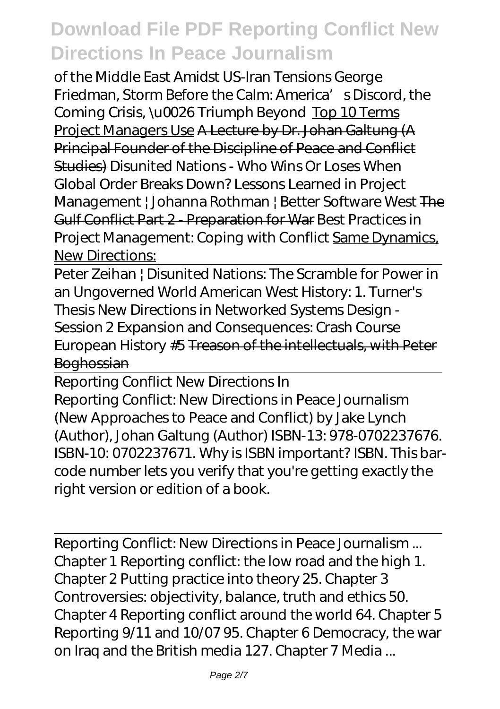of the Middle East Amidst US-Iran Tensions George Friedman, Storm Before the Calm: America' s Discord, the Coming Crisis, \u0026 Triumph Beyond Top 10 Terms Project Managers Use A Lecture by Dr. Johan Galtung (A Principal Founder of the Discipline of Peace and Conflict Studies) *Disunited Nations - Who Wins Or Loses When Global Order Breaks Down? Lessons Learned in Project Management | Johanna Rothman | Better Software West* The Gulf Conflict Part 2 - Preparation for War *Best Practices in Project Management: Coping with Conflict* Same Dynamics, **New Directions:** 

Peter Zeihan | Disunited Nations: The Scramble for Power in an Ungoverned World American West History: 1. Turner's Thesis *New Directions in Networked Systems Design - Session 2* Expansion and Consequences: Crash Course European History #5 Treason of the intellectuals, with Peter **Boghossian** 

Reporting Conflict New Directions In Reporting Conflict: New Directions in Peace Journalism (New Approaches to Peace and Conflict) by Jake Lynch (Author), Johan Galtung (Author) ISBN-13: 978-0702237676. ISBN-10: 0702237671. Why is ISBN important? ISBN. This barcode number lets you verify that you're getting exactly the right version or edition of a book.

Reporting Conflict: New Directions in Peace Journalism ... Chapter 1 Reporting conflict: the low road and the high 1. Chapter 2 Putting practice into theory 25. Chapter 3 Controversies: objectivity, balance, truth and ethics 50. Chapter 4 Reporting conflict around the world 64. Chapter 5 Reporting 9/11 and 10/07 95. Chapter 6 Democracy, the war on Iraq and the British media 127. Chapter 7 Media ...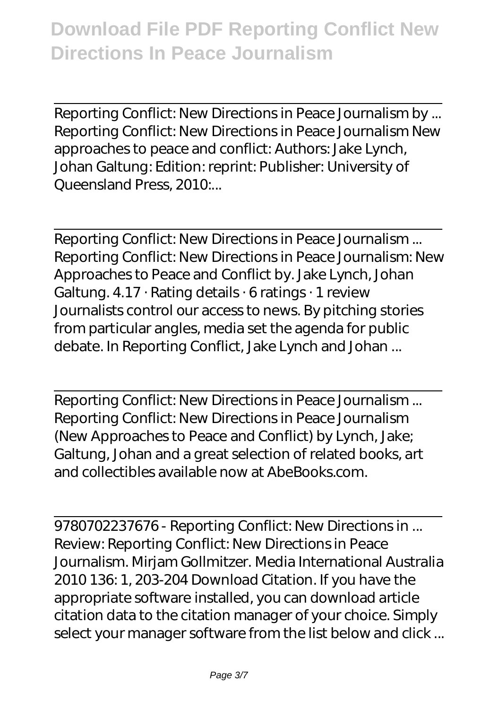Reporting Conflict: New Directions in Peace Journalism by ... Reporting Conflict: New Directions in Peace Journalism New approaches to peace and conflict: Authors: Jake Lynch, Johan Galtung: Edition: reprint: Publisher: University of Queensland Press, 2010....

Reporting Conflict: New Directions in Peace Journalism ... Reporting Conflict: New Directions in Peace Journalism: New Approaches to Peace and Conflict by. Jake Lynch, Johan Galtung. 4.17 · Rating details · 6 ratings · 1 review Journalists control our access to news. By pitching stories from particular angles, media set the agenda for public debate. In Reporting Conflict, Jake Lynch and Johan ...

Reporting Conflict: New Directions in Peace Journalism ... Reporting Conflict: New Directions in Peace Journalism (New Approaches to Peace and Conflict) by Lynch, Jake; Galtung, Johan and a great selection of related books, art and collectibles available now at AbeBooks.com.

9780702237676 - Reporting Conflict: New Directions in ... Review: Reporting Conflict: New Directions in Peace Journalism. Mirjam Gollmitzer. Media International Australia 2010 136: 1, 203-204 Download Citation. If you have the appropriate software installed, you can download article citation data to the citation manager of your choice. Simply select your manager software from the list below and click ...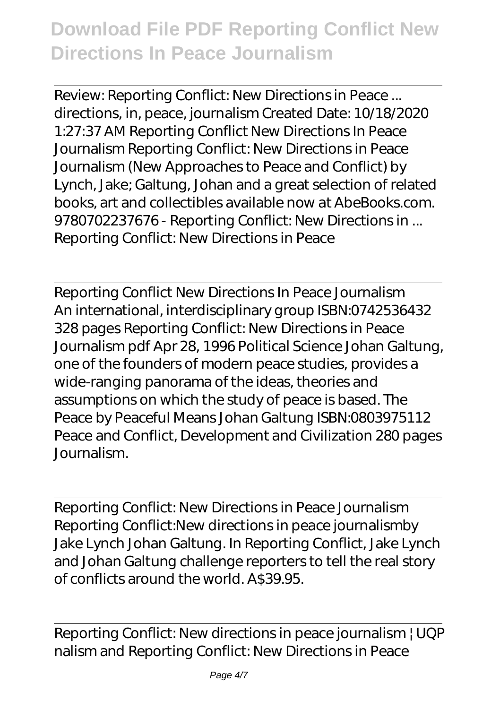Review: Reporting Conflict: New Directions in Peace ... directions, in, peace, journalism Created Date: 10/18/2020 1:27:37 AM Reporting Conflict New Directions In Peace Journalism Reporting Conflict: New Directions in Peace Journalism (New Approaches to Peace and Conflict) by Lynch, Jake; Galtung, Johan and a great selection of related books, art and collectibles available now at AbeBooks.com. 9780702237676 - Reporting Conflict: New Directions in ... Reporting Conflict: New Directions in Peace

Reporting Conflict New Directions In Peace Journalism An international, interdisciplinary group ISBN:0742536432 328 pages Reporting Conflict: New Directions in Peace Journalism pdf Apr 28, 1996 Political Science Johan Galtung, one of the founders of modern peace studies, provides a wide-ranging panorama of the ideas, theories and assumptions on which the study of peace is based. The Peace by Peaceful Means Johan Galtung ISBN:0803975112 Peace and Conflict, Development and Civilization 280 pages Journalism.

Reporting Conflict: New Directions in Peace Journalism Reporting Conflict:New directions in peace journalismby Jake Lynch Johan Galtung. In Reporting Conflict, Jake Lynch and Johan Galtung challenge reporters to tell the real story of conflicts around the world. A\$39.95.

Reporting Conflict: New directions in peace journalism | UQP nalism and Reporting Conflict: New Directions in Peace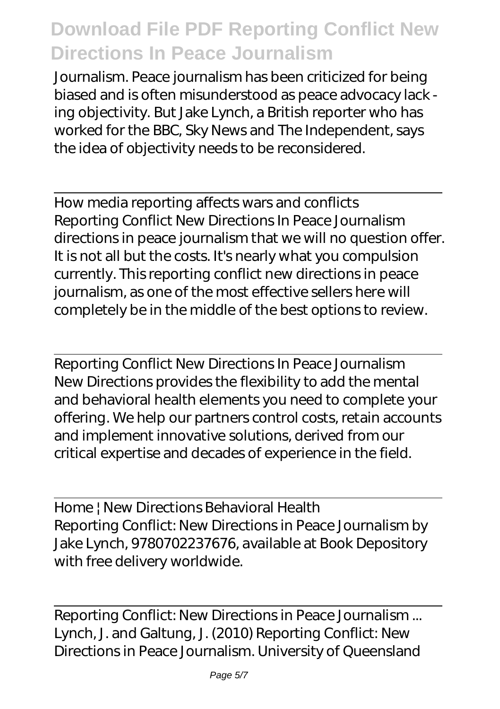Journalism. Peace journalism has been criticized for being biased and is often misunderstood as peace advocacy lack ing objectivity. But Jake Lynch, a British reporter who has worked for the BBC, Sky News and The Independent, says the idea of objectivity needs to be reconsidered.

How media reporting affects wars and conflicts Reporting Conflict New Directions In Peace Journalism directions in peace journalism that we will no question offer. It is not all but the costs. It's nearly what you compulsion currently. This reporting conflict new directions in peace journalism, as one of the most effective sellers here will completely be in the middle of the best options to review.

Reporting Conflict New Directions In Peace Journalism New Directions provides the flexibility to add the mental and behavioral health elements you need to complete your offering. We help our partners control costs, retain accounts and implement innovative solutions, derived from our critical expertise and decades of experience in the field.

Home | New Directions Behavioral Health Reporting Conflict: New Directions in Peace Journalism by Jake Lynch, 9780702237676, available at Book Depository with free delivery worldwide.

Reporting Conflict: New Directions in Peace Journalism ... Lynch, J. and Galtung, J. (2010) Reporting Conflict: New Directions in Peace Journalism. University of Queensland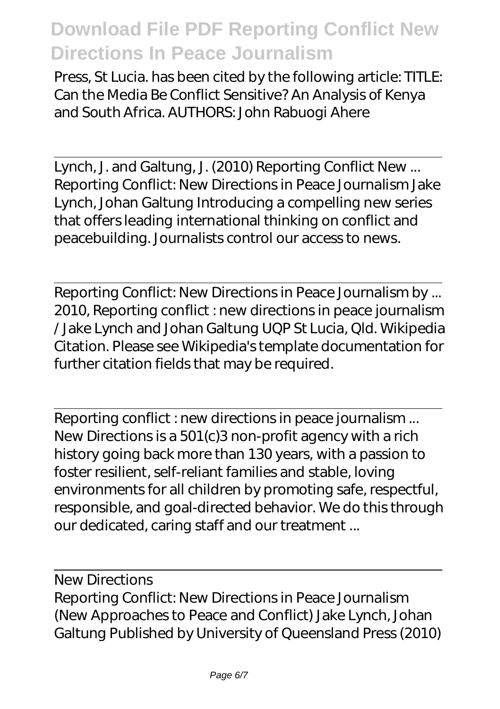Press, St Lucia. has been cited by the following article: TITLE: Can the Media Be Conflict Sensitive? An Analysis of Kenya and South Africa. AUTHORS: John Rabuogi Ahere

Lynch, J. and Galtung, J. (2010) Reporting Conflict New ... Reporting Conflict: New Directions in Peace Journalism Jake Lynch, Johan Galtung Introducing a compelling new series that offers leading international thinking on conflict and peacebuilding. Journalists control our access to news.

Reporting Conflict: New Directions in Peace Journalism by ... 2010, Reporting conflict : new directions in peace journalism / Jake Lynch and Johan Galtung UQP St Lucia, Qld. Wikipedia Citation. Please see Wikipedia's template documentation for further citation fields that may be required.

Reporting conflict : new directions in peace journalism ... New Directions is a 501(c)3 non-profit agency with a rich history going back more than 130 years, with a passion to foster resilient, self-reliant families and stable, loving environments for all children by promoting safe, respectful, responsible, and goal-directed behavior. We do this through our dedicated, caring staff and our treatment ...

New Directions Reporting Conflict: New Directions in Peace Journalism (New Approaches to Peace and Conflict) Jake Lynch, Johan Galtung Published by University of Queensland Press (2010)